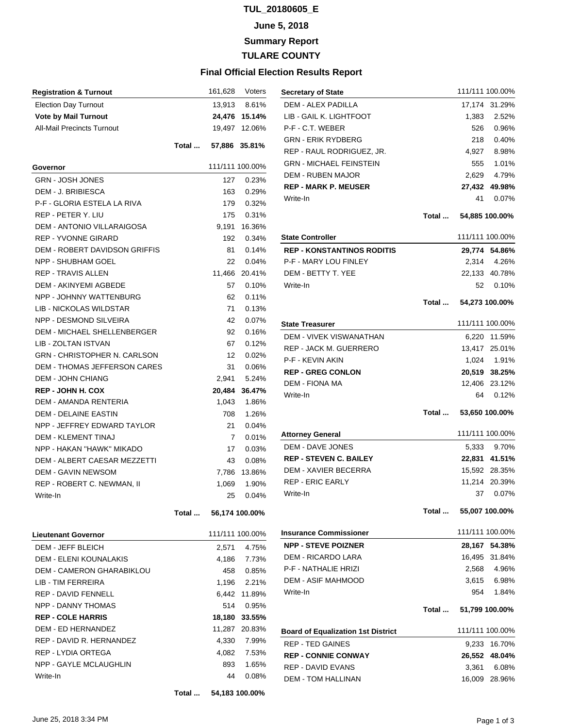### **TUL\_20180605\_E**

#### **June 5, 2018**

**Summary Report**

**TULARE COUNTY**

#### **Final Official Election Results Report**

| <b>Registration &amp; Turnout</b>   |       |                      | 161,628 Voters  |
|-------------------------------------|-------|----------------------|-----------------|
| <b>Election Day Turnout</b>         |       | 13,913               | 8.61%           |
| <b>Vote by Mail Turnout</b>         |       |                      | 24,476 15.14%   |
| <b>All-Mail Precincts Turnout</b>   |       |                      | 19,497 12.06%   |
|                                     |       | Total  57,886 35.81% |                 |
| Governor                            |       |                      | 111/111 100.00% |
| <b>GRN - JOSH JONES</b>             |       | 127                  | 0.23%           |
| DEM - J. BRIBIESCA                  |       | 163                  | 0.29%           |
| P-F - GLORIA ESTELA LA RIVA         |       | 179                  | 0.32%           |
| REP - PETER Y. LIU                  |       | 175                  | 0.31%           |
| <b>DEM - ANTONIO VILLARAIGOSA</b>   |       | 9,191                | 16.36%          |
| <b>REP - YVONNE GIRARD</b>          |       | 192                  | 0.34%           |
| DEM - ROBERT DAVIDSON GRIFFIS       |       | 81                   | 0.14%           |
| <b>NPP - SHUBHAM GOEL</b>           |       | 22                   | 0.04%           |
| <b>REP - TRAVIS ALLEN</b>           |       | 11,466               | 20.41%          |
| DEM - AKINYEMI AGBEDE               |       | 57                   | 0.10%           |
| NPP - JOHNNY WATTENBURG             |       | 62                   | 0.11%           |
| LIB - NICKOLAS WILDSTAR             |       | 71                   | 0.13%           |
| NPP - DESMOND SILVEIRA              |       | 42                   | 0.07%           |
| <b>DEM - MICHAEL SHELLENBERGER</b>  |       | 92                   | 0.16%           |
| LIB - ZOLTAN ISTVAN                 |       | 67                   | 0.12%           |
| <b>GRN - CHRISTOPHER N. CARLSON</b> |       | 12 <sup>2</sup>      | $0.02\%$        |
| DEM - THOMAS JEFFERSON CARES        |       | 31                   | $0.06\%$        |
| <b>DEM - JOHN CHIANG</b>            |       | 2,941                | 5.24%           |
| <b>REP - JOHN H. COX</b>            |       | 20,484               | 36.47%          |
| DEM - AMANDA RENTERIA               |       | 1,043                | 1.86%           |
| <b>DEM - DELAINE EASTIN</b>         |       | 708                  | 1.26%           |
| NPP - JEFFREY EDWARD TAYLOR         |       | 21                   | 0.04%           |
| <b>DEM - KLEMENT TINAJ</b>          |       | 7                    | 0.01%           |
| NPP - HAKAN "HAWK" MIKADO           |       | 17                   | 0.03%           |
| <b>DEM - ALBERT CAESAR MEZZETTI</b> |       | 43                   | $0.08\%$        |
| <b>DEM - GAVIN NEWSOM</b>           |       | 7,786                | 13.86%          |
| REP - ROBERT C. NEWMAN. II          |       | 1,069                | 1.90%           |
| Write-In                            |       | 25                   | 0.04%           |
|                                     | Total |                      | 56,174 100.00%  |
| <b>Lieutenant Governor</b>          |       |                      | 111/111 100.00% |
| <b>DEM - JEFF BLEICH</b>            |       | 2,571                | 4.75%           |
| DEM - ELENI KOUNALAKIS              |       | 4,186                | 7.73%           |
| DEM - CAMERON GHARABIKLOU           |       | 458                  | 0.85%           |
| LIB - TIM FERREIRA                  |       |                      | 1.196 2.21%     |
| <b>REP - DAVID FENNELL</b>          |       |                      | 6,442 11.89%    |
| <b>NPP - DANNY THOMAS</b>           |       | 514                  | 0.95%           |
| <b>REP - COLE HARRIS</b>            |       |                      | 18,180 33.55%   |
| <b>DEM - ED HERNANDEZ</b>           |       |                      | 11,287 20.83%   |
| REP - DAVID R. HERNANDEZ            |       | 4,330                | 7.99%           |
| REP - LYDIA ORTEGA                  |       | 4,082                | 7.53%           |
| NPP - GAYLE MCLAUGHLIN              |       | 893                  | 1.65%           |
| Write-In                            |       | 44                   | 0.08%           |
|                                     |       |                      |                 |

| <b>Secretary of State</b>                 |       |                       | 111/111 100.00% |
|-------------------------------------------|-------|-----------------------|-----------------|
| <b>DEM - ALEX PADILLA</b>                 |       |                       | 17,174 31.29%   |
| LIB - GAIL K. LIGHTFOOT                   |       | 1,383                 | 2.52%           |
| P-F - C.T. WEBER                          |       | 526                   | 0.96%           |
| <b>GRN - ERIK RYDBERG</b>                 |       | 218                   | 0.40%           |
| REP - RAUL RODRIGUEZ, JR.                 |       | 4,927                 | 8.98%           |
| <b>GRN - MICHAEL FEINSTEIN</b>            |       |                       | 555 1.01%       |
| <b>DEM - RUBEN MAJOR</b>                  |       | 2,629                 | 4.79%           |
| <b>REP - MARK P. MEUSER</b>               |       |                       | 27,432 49.98%   |
| Write-In                                  |       | 41                    | $0.07\%$        |
|                                           |       | Total  54,885 100.00% |                 |
| <b>State Controller</b>                   |       |                       | 111/111 100.00% |
| <b>REP - KONSTANTINOS RODITIS</b>         |       |                       | 29,774 54.86%   |
| P-F - MARY LOU FINLEY                     |       |                       | 2,314 4.26%     |
| DEM - BETTY T. YEE                        |       |                       | 22,133 40.78%   |
| Write-In                                  |       | 52                    | 0.10%           |
|                                           |       | Total  54,273 100.00% |                 |
| <b>State Treasurer</b>                    |       |                       | 111/111 100.00% |
| <b>DEM - VIVEK VISWANATHAN</b>            |       |                       | 6,220 11.59%    |
| <b>REP - JACK M. GUERRERO</b>             |       |                       | 13,417 25.01%   |
| <b>P-F - KEVIN AKIN</b>                   |       |                       | 1,024 1.91%     |
| <b>REP - GREG CONLON</b>                  |       |                       | 20,519 38.25%   |
| DEM - FIONA MA                            |       |                       | 12,406 23.12%   |
| Write-In                                  |       | 64                    | 0.12%           |
|                                           |       | Total  53,650 100.00% |                 |
| <b>Attorney General</b>                   |       |                       | 111/111 100.00% |
| <b>DEM - DAVE JONES</b>                   |       | 5,333                 | 9.70%           |
| <b>REP - STEVEN C. BAILEY</b>             |       |                       | 22,831 41.51%   |
| DEM - XAVIER BECERRA                      |       |                       | 15,592 28.35%   |
| REP - ERIC EARLY                          |       |                       | 11,214 20.39%   |
| Write-In                                  |       | 37                    | 0.07%           |
|                                           | Total |                       | 55,007 100.00%  |
| <b>Insurance Commissioner</b>             |       |                       | 111/111 100.00% |
| <b>NPP - STEVE POIZNER</b>                |       | 28,167                | 54.38%          |
| <b>DEM - RICARDO LARA</b>                 |       | 16,495                | 31.84%          |
| P-F - NATHALIE HRIZI                      |       | 2,568                 | 4.96%           |
| <b>DEM - ASIF MAHMOOD</b>                 |       |                       | 3,615 6.98%     |
| Write-In                                  |       | 954                   | 1.84%           |
|                                           | Total |                       | 51,799 100.00%  |
| <b>Board of Equalization 1st District</b> |       |                       | 111/111 100.00% |
| <b>REP - TED GAINES</b>                   |       | 9,233                 | 16.70%          |
| <b>REP - CONNIE CONWAY</b>                |       |                       | 26,552 48.04%   |
| <b>REP - DAVID EVANS</b>                  |       | 3,361                 | 6.08%           |
| <b>DEM - TOM HALLINAN</b>                 |       |                       | 16,009 28.96%   |
|                                           |       |                       |                 |

**Total ... 54,183 100.00%**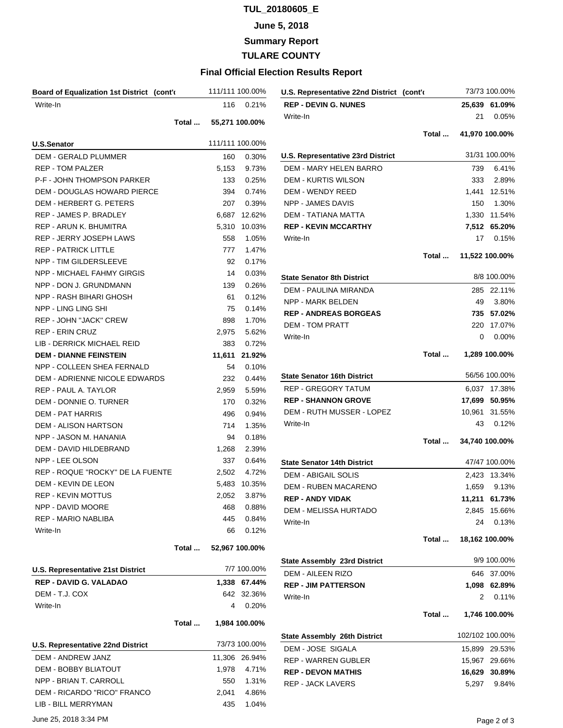# **TUL\_20180605\_E**

### **June 5, 2018**

**Summary Report**

**TULARE COUNTY**

## **Final Official Election Results Report**

| Board of Equalization 1st District (cont'd |       |        | 111/111 100.00% | U.S. Representative 22nd District (cont'd |       |        | 73/73 100.00%   |
|--------------------------------------------|-------|--------|-----------------|-------------------------------------------|-------|--------|-----------------|
| Write-In                                   |       | 116    | 0.21%           | <b>REP - DEVIN G. NUNES</b>               |       |        | 25,639 61.09%   |
|                                            | Total |        | 55,271 100.00%  | Write-In                                  |       | 21     | 0.05%           |
|                                            |       |        |                 |                                           | Total |        | 41,970 100.00%  |
| <b>U.S.Senator</b>                         |       |        | 111/111 100.00% |                                           |       |        |                 |
| <b>DEM - GERALD PLUMMER</b>                |       | 160    | 0.30%           | <b>U.S. Representative 23rd District</b>  |       |        | 31/31 100.00%   |
| <b>REP - TOM PALZER</b>                    |       | 5,153  | 9.73%           | DEM - MARY HELEN BARRO                    |       | 739    | 6.41%           |
| <b>P-F - JOHN THOMPSON PARKER</b>          |       | 133    | 0.25%           | <b>DEM - KURTIS WILSON</b>                |       | 333    | 2.89%           |
| DEM - DOUGLAS HOWARD PIERCE                |       | 394    | 0.74%           | DEM - WENDY REED                          |       | 1,441  | 12.51%          |
| DEM - HERBERT G. PETERS                    |       | 207    | 0.39%           | <b>NPP - JAMES DAVIS</b>                  |       | 150    | 1.30%           |
| <b>REP - JAMES P. BRADLEY</b>              |       |        | 6,687 12.62%    | DEM - TATIANA MATTA                       |       | 1,330  | 11.54%          |
| REP - ARUN K. BHUMITRA                     |       |        | 5,310 10.03%    | <b>REP - KEVIN MCCARTHY</b>               |       |        | 7,512 65.20%    |
| REP - JERRY JOSEPH LAWS                    |       | 558    | 1.05%           | Write-In                                  |       | 17     | 0.15%           |
| <b>REP - PATRICK LITTLE</b>                |       | 777    | 1.47%           |                                           | Total |        | 11,522 100.00%  |
| NPP - TIM GILDERSLEEVE                     |       | 92     | 0.17%           |                                           |       |        |                 |
| <b>NPP - MICHAEL FAHMY GIRGIS</b>          |       | 14     | 0.03%           | <b>State Senator 8th District</b>         |       |        | 8/8 100.00%     |
| NPP - DON J. GRUNDMANN                     |       | 139    | 0.26%           | DEM - PAULINA MIRANDA                     |       |        | 285 22.11%      |
| NPP - RASH BIHARI GHOSH                    |       | 61     | 0.12%           | NPP - MARK BELDEN                         |       | 49     | 3.80%           |
| NPP - LING LING SHI                        |       | 75     | 0.14%           | <b>REP - ANDREAS BORGEAS</b>              |       | 735    | 57.02%          |
| <b>REP - JOHN "JACK" CREW</b>              |       | 898    | 1.70%           | <b>DEM - TOM PRATT</b>                    |       | 220    | 17.07%          |
| REP - ERIN CRUZ                            |       | 2,975  | 5.62%           | Write-In                                  |       | 0      | 0.00%           |
| LIB - DERRICK MICHAEL REID                 |       | 383    | 0.72%           |                                           |       |        |                 |
| <b>DEM - DIANNE FEINSTEIN</b>              |       | 11,611 | 21.92%          |                                           | Total |        | 1,289 100.00%   |
| NPP - COLLEEN SHEA FERNALD                 |       | 54     | 0.10%           |                                           |       |        |                 |
| DEM - ADRIENNE NICOLE EDWARDS              |       | 232    | 0.44%           | <b>State Senator 16th District</b>        |       |        | 56/56 100.00%   |
| REP - PAUL A. TAYLOR                       |       | 2,959  | 5.59%           | <b>REP - GREGORY TATUM</b>                |       |        | 6,037 17.38%    |
| DEM - DONNIE O. TURNER                     |       | 170    | 0.32%           | <b>REP - SHANNON GROVE</b>                |       | 17,699 | 50.95%          |
| DEM - PAT HARRIS                           |       | 496    | 0.94%           | DEM - RUTH MUSSER - LOPEZ                 |       |        | 10,961 31.55%   |
| DEM - ALISON HARTSON                       |       | 714    | 1.35%           | Write-In                                  |       | 43     | 0.12%           |
| NPP - JASON M. HANANIA                     |       | 94     | 0.18%           |                                           | Total |        | 34,740 100.00%  |
| DEM - DAVID HILDEBRAND                     |       | 1,268  | 2.39%           |                                           |       |        |                 |
| NPP - LEE OLSON                            |       | 337    | 0.64%           | <b>State Senator 14th District</b>        |       |        | 47/47 100.00%   |
| REP - ROQUE "ROCKY" DE LA FUENTE           |       | 2,502  | 4.72%           | <b>DEM - ABIGAIL SOLIS</b>                |       |        | 2,423 13.34%    |
| DEM - KEVIN DE LEON                        |       |        | 5,483 10.35%    | <b>DEM - RUBEN MACARENO</b>               |       | 1,659  | 9.13%           |
| REP - KEVIN MOTTUS                         |       |        | 2,052 3.87%     | <b>REP - ANDY VIDAK</b>                   |       |        | 11,211 61.73%   |
| NPP - DAVID MOORE                          |       | 468    | 0.88%           | DEM - MELISSA HURTADO                     |       |        | 2,845 15.66%    |
| REP - MARIO NABLIBA                        |       | 445    | 0.84%           | Write-In                                  |       | 24     | 0.13%           |
| Write-In                                   |       | 66     | 0.12%           |                                           | Total |        | 18,162 100.00%  |
|                                            | Total |        | 52,967 100.00%  |                                           |       |        |                 |
|                                            |       |        |                 | <b>State Assembly 23rd District</b>       |       |        | 9/9 100.00%     |
| <b>U.S. Representative 21st District</b>   |       |        | 7/7 100.00%     | DEM - AILEEN RIZO                         |       |        | 646 37.00%      |
| <b>REP - DAVID G. VALADAO</b>              |       |        | 1,338 67.44%    | <b>REP - JIM PATTERSON</b>                |       |        | 1,098 62.89%    |
| DEM - T.J. COX                             |       |        | 642 32.36%      | Write-In                                  |       | 2      | 0.11%           |
| Write-In                                   |       |        | 4 0.20%         |                                           |       |        |                 |
|                                            | Total |        | 1,984 100.00%   |                                           | Total |        | 1,746 100.00%   |
|                                            |       |        |                 | <b>State Assembly 26th District</b>       |       |        | 102/102 100.00% |
| U.S. Representative 22nd District          |       |        | 73/73 100.00%   | DEM - JOSE SIGALA                         |       |        | 15,899 29.53%   |
| DEM - ANDREW JANZ                          |       |        | 11,306 26.94%   | <b>REP - WARREN GUBLER</b>                |       |        | 15,967 29.66%   |
| DEM - BOBBY BLIATOUT                       |       | 1,978  | 4.71%           | <b>REP - DEVON MATHIS</b>                 |       |        | 16,629 30.89%   |
| NPP - BRIAN T. CARROLL                     |       | 550    | 1.31%           | REP - JACK LAVERS                         |       | 5,297  | 9.84%           |
| DEM - RICARDO "RICO" FRANCO                |       | 2,041  | 4.86%           |                                           |       |        |                 |
| LIB - BILL MERRYMAN                        |       | 435    | 1.04%           |                                           |       |        |                 |
| June 25, 2018 3:34 PM                      |       |        |                 |                                           |       |        | Page 2 of 3     |